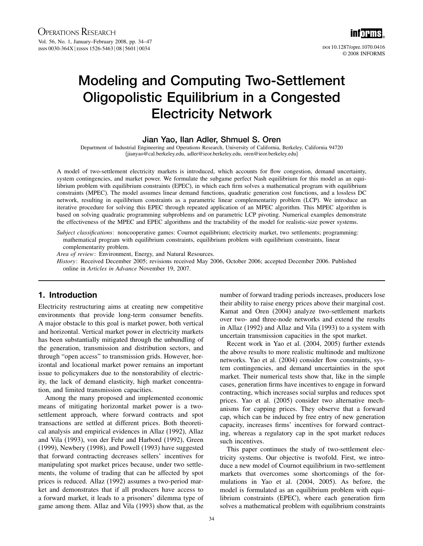in iorms doi 10.1287/opre.1070.0416 © 2008 INFORMS

# Modeling and Computing Two-Settlement Oligopolistic Equilibrium in a Congested Electricity Network

### Jian Yao, Ilan Adler, Shmuel S. Oren

Department of Industrial Engineering and Operations Research, University of California, Berkeley, California 94720 {jianyao@cal.berkeley.edu, adler@ieor.berkeley.edu, oren@ieor.berkeley.edu}

A model of two-settlement electricity markets is introduced, which accounts for flow congestion, demand uncertainty, system contingencies, and market power. We formulate the subgame perfect Nash equilibrium for this model as an equilibrium problem with equilibrium constraints (EPEC), in which each firm solves a mathematical program with equilibrium constraints (MPEC). The model assumes linear demand functions, quadratic generation cost functions, and a lossless DC network, resulting in equilibrium constraints as a parametric linear complementarity problem (LCP). We introduce an iterative procedure for solving this EPEC through repeated application of an MPEC algorithm. This MPEC algorithm is based on solving quadratic programming subproblems and on parametric LCP pivoting. Numerical examples demonstrate the effectiveness of the MPEC and EPEC algorithms and the tractability of the model for realistic-size power systems.

Subject classifications: noncooperative games: Cournot equilibrium; electricity market, two settlements; programming: mathematical program with equilibrium constraints, equilibrium problem with equilibrium constraints, linear complementarity problem.

Area of review: Environment, Energy, and Natural Resources.

History: Received December 2005; revisions received May 2006, October 2006; accepted December 2006. Published online in Articles in Advance November 19, 2007.

## 1. Introduction

Electricity restructuring aims at creating new competitive environments that provide long-term consumer benefits. A major obstacle to this goal is market power, both vertical and horizontal. Vertical market power in electricity markets has been substantially mitigated through the unbundling of the generation, transmission and distribution sectors, and through "open access" to transmission grids. However, horizontal and locational market power remains an important issue to policymakers due to the nonstorability of electricity, the lack of demand elasticity, high market concentration, and limited transmission capacities.

Among the many proposed and implemented economic means of mitigating horizontal market power is a twosettlement approach, where forward contracts and spot transactions are settled at different prices. Both theoretical analysis and empirical evidences in Allaz (1992), Allaz and Vila (1993), von der Fehr and Harbord (1992), Green (1999), Newbery (1998), and Powell (1993) have suggested that forward contracting decreases sellers' incentives for manipulating spot market prices because, under two settlements, the volume of trading that can be affected by spot prices is reduced. Allaz (1992) assumes a two-period market and demonstrates that if all producers have access to a forward market, it leads to a prisoners' dilemma type of game among them. Allaz and Vila (1993) show that, as the

number of forward trading periods increases, producers lose their ability to raise energy prices above their marginal cost. Kamat and Oren (2004) analyze two-settlement markets over two- and three-node networks and extend the results in Allaz (1992) and Allaz and Vila (1993) to a system with uncertain transmission capacities in the spot market.

Recent work in Yao et al. (2004, 2005) further extends the above results to more realistic multinode and multizone networks. Yao et al. (2004) consider flow constraints, system contingencies, and demand uncertainties in the spot market. Their numerical tests show that, like in the simple cases, generation firms have incentives to engage in forward contracting, which increases social surplus and reduces spot prices. Yao et al. (2005) consider two alternative mechanisms for capping prices. They observe that a forward cap, which can be induced by free entry of new generation capacity, increases firms' incentives for forward contracting, whereas a regulatory cap in the spot market reduces such incentives.

This paper continues the study of two-settlement electricity systems. Our objective is twofold. First, we introduce a new model of Cournot equilibrium in two-settlement markets that overcomes some shortcomings of the formulations in Yao et al. (2004, 2005). As before, the model is formulated as an equilibrium problem with equilibrium constraints (EPEC), where each generation firm solves a mathematical problem with equilibrium constraints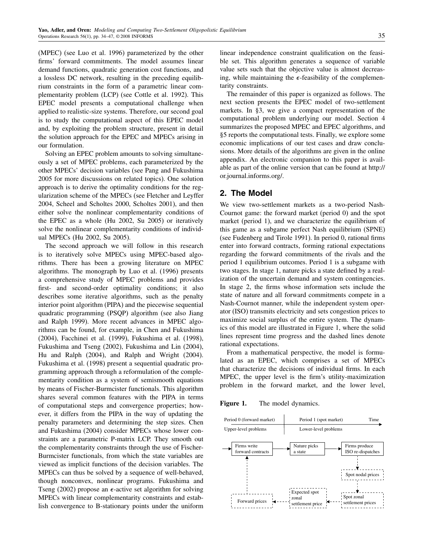(MPEC) (see Luo et al. 1996) parameterized by the other firms' forward commitments. The model assumes linear demand functions, quadratic generation cost functions, and a lossless DC network, resulting in the preceding equilibrium constraints in the form of a parametric linear complementarity problem (LCP) (see Cottle et al. 1992). This EPEC model presents a computational challenge when applied to realistic-size systems. Therefore, our second goal is to study the computational aspect of this EPEC model and, by exploiting the problem structure, present in detail the solution approach for the EPEC and MPECs arising in our formulation.

Solving an EPEC problem amounts to solving simultaneously a set of MPEC problems, each parameterized by the other MPECs' decision variables (see Pang and Fukushima 2005 for more discussions on related topics). One solution approach is to derive the optimality conditions for the regularization scheme of the MPECs (see Fletcher and Leyffer 2004, Scheel and Scholtes 2000, Scholtes 2001), and then either solve the nonlinear complementarity conditions of the EPEC as a whole (Hu 2002, Su 2005) or iteratively solve the nonlinear complementarity conditions of individual MPECs (Hu 2002, Su 2005).

The second approach we will follow in this research is to iteratively solve MPECs using MPEC-based algorithms. There has been a growing literature on MPEC algorithms. The monograph by Luo et al. (1996) presents a comprehensive study of MPEC problems and provides first- and second-order optimality conditions; it also describes some iterative algorithms, such as the penalty interior point algorithm (PIPA) and the piecewise sequential quadratic programming (PSQP) algorithm (see also Jiang and Ralph 1999). More recent advances in MPEC algorithms can be found, for example, in Chen and Fukushima (2004), Facchinei et al. (1999), Fukushima et al. (1998), Fukushima and Tseng (2002), Fukushima and Lin (2004), Hu and Ralph (2004), and Ralph and Wright (2004). Fukushima et al. (1998) present a sequential quadratic programming approach through a reformulation of the complementarity condition as a system of semismooth equations by means of Fischer-Burmcister functionals. This algorithm shares several common features with the PIPA in terms of computational steps and convergence properties; however, it differs from the PIPA in the way of updating the penalty parameters and determining the step sizes. Chen and Fukushima (2004) consider MPECs whose lower constraints are a parametric P-matrix LCP. They smooth out the complementarity constraints through the use of Fischer-Burmcister functionals, from which the state variables are viewed as implicit functions of the decision variables. The MPECs can thus be solved by a sequence of well-behaved, though nonconvex, nonlinear programs. Fukushima and Tseng (2002) propose an  $\epsilon$ -active set algorithm for solving MPECs with linear complementarity constraints and establish convergence to B-stationary points under the uniform

linear independence constraint qualification on the feasible set. This algorithm generates a sequence of variable value sets such that the objective value is almost decreasing, while maintaining the  $\epsilon$ -feasibility of the complementarity constraints.

The remainder of this paper is organized as follows. The next section presents the EPEC model of two-settlement markets. In §3, we give a compact representation of the computational problem underlying our model. Section 4 summarizes the proposed MPEC and EPEC algorithms, and §5 reports the computational tests. Finally, we explore some economic implications of our test cases and draw conclusions. More details of the algorithms are given in the online appendix. An electronic companion to this paper is available as part of the online version that can be found at http:// or.journal.informs.org/.

## 2. The Model

We view two-settlement markets as a two-period Nash-Cournot game: the forward market (period 0) and the spot market (period 1), and we characterize the equilibrium of this game as a subgame perfect Nash equilibrium (SPNE) (see Fudenberg and Tirole 1991). In period 0, rational firms enter into forward contracts, forming rational expectations regarding the forward commitments of the rivals and the period 1 equilibrium outcomes. Period 1 is a subgame with two stages. In stage 1, nature picks a state defined by a realization of the uncertain demand and system contingencies. In stage 2, the firms whose information sets include the state of nature and all forward commitments compete in a Nash-Cournot manner, while the independent system operator (ISO) transmits electricity and sets congestion prices to maximize social surplus of the entire system. The dynamics of this model are illustrated in Figure 1, where the solid lines represent time progress and the dashed lines denote rational expectations.

From a mathematical perspective, the model is formulated as an EPEC, which comprises a set of MPECs that characterize the decisions of individual firms. In each MPEC, the upper level is the firm's utility-maximization problem in the forward market, and the lower level,

Figure 1. The model dynamics.

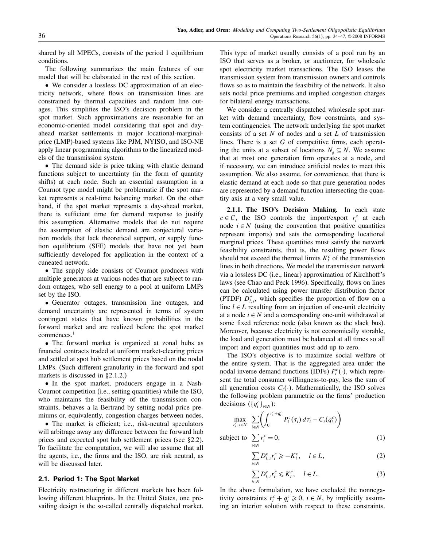shared by all MPECs, consists of the period 1 equilibrium conditions.

The following summarizes the main features of our model that will be elaborated in the rest of this section.

• We consider a lossless DC approximation of an electricity network, where flows on transmission lines are constrained by thermal capacities and random line outages. This simplifies the ISO's decision problem in the spot market. Such approximations are reasonable for an economic-oriented model considering that spot and dayahead market settlements in major locational-marginalprice (LMP)-based systems like PJM, NYISO, and ISO-NE apply linear programming algorithms to the linearized models of the transmission system.

• The demand side is price taking with elastic demand functions subject to uncertainty (in the form of quantity shifts) at each node. Such an essential assumption in a Cournot type model might be problematic if the spot market represents a real-time balancing market. On the other hand, if the spot market represents a day-ahead market, there is sufficient time for demand response to justify this assumption. Alternative models that do not require the assumption of elastic demand are conjectural variation models that lack theoretical support, or supply function equilibrium (SFE) models that have not yet been sufficiently developed for application in the context of a cuneated network.

• The supply side consists of Cournot producers with multiple generators at various nodes that are subject to random outages, who sell energy to a pool at uniform LMPs set by the ISO.

• Generator outages, transmission line outages, and demand uncertainty are represented in terms of system contingent states that have known probabilities in the forward market and are realized before the spot market commences.<sup>1</sup>

• The forward market is organized at zonal hubs as financial contracts traded at uniform market-clearing prices and settled at spot hub settlement prices based on the nodal LMPs. (Such different granularity in the forward and spot markets is discussed in §2.1.2.)

• In the spot market, producers engage in a Nash-Cournot competition (i.e., setting quantities) while the ISO, who maintains the feasibility of the transmission constraints, behaves a la Bertrand by setting nodal price premiums or, equivalently, congestion charges between nodes.

• The market is efficient; i.e., risk-neutral speculators will arbitrage away any difference between the forward hub prices and expected spot hub settlement prices (see §2.2). To facilitate the computation, we will also assume that all the agents, i.e., the firms and the ISO, are risk neutral, as will be discussed later.

#### 2.1. Period 1: The Spot Market

Electricity restructuring in different markets has been following different blueprints. In the United States, one prevailing design is the so-called centrally dispatched market. This type of market usually consists of a pool run by an ISO that serves as a broker, or auctioneer, for wholesale spot electricity market transactions. The ISO leases the transmission system from transmission owners and controls flows so as to maintain the feasibility of the network. It also sets nodal price premiums and implied congestion charges for bilateral energy transactions.

We consider a centrally dispatched wholesale spot market with demand uncertainty, flow constraints, and system contingencies. The network underlying the spot market consists of a set  $N$  of nodes and a set  $L$  of transmission lines. There is a set  $G$  of competitive firms, each operating the units at a subset of locations  $N<sub>g</sub> \subseteq N$ . We assume that at most one generation firm operates at a node, and if necessary, we can introduce artificial nodes to meet this assumption. We also assume, for convenience, that there is elastic demand at each node so that pure generation nodes are represented by a demand function intersecting the quantity axis at a very small value.

2.1.1. The ISO's Decision Making. In each state  $c \in C$ , the ISO controls the import/export  $r_i^c$  at each node  $i \in N$  (using the convention that positive quantities represent imports) and sets the corresponding locational marginal prices. These quantities must satisfy the network feasibility constraints, that is, the resulting power flows should not exceed the thermal limits  $K_l^c$  of the transmission lines in both directions. We model the transmission network via a lossless DC (i.e., linear) approximation of Kirchhoff's laws (see Chao and Peck 1996). Specifically, flows on lines can be calculated using power transfer distribution factor (PTDF)  $D_{l,i}^c$ , which specifies the proportion of flow on a line  $l \in L$  resulting from an injection of one-unit electricity at a node  $i \in N$  and a corresponding one-unit withdrawal at some fixed reference node (also known as the slack bus). Moreover, because electricity is not economically storable, the load and generation must be balanced at all times so all import and export quantities must add up to zero.

The ISO's objective is to maximize social welfare of the entire system. That is the aggregated area under the nodal inverse demand functions (IDFs)  $P_i^c(\cdot)$ , which represent the total consumer willingness-to-pay, less the sum of all generation costs  $C_i(\cdot)$ . Mathematically, the ISO solves the following problem parametric on the firms' production decisions  $({q_i^c}_{i\in N})$ :

$$
\max_{r_i^c: i \in N} \sum_{i \in N} \left( \int_0^{r_i^c + q_i^c} P_i^c(\tau_i) d\tau_i - C_i(q_i^c) \right)
$$

subject to 
$$
\sum_{i \in N} r_i^c = 0,
$$
 (1)

$$
\sum_{i \in N} D_{l,i}^c r_i^c \geqslant -K_l^c, \quad l \in L,\tag{2}
$$

$$
\sum_{i \in N} D_{l,i}^c r_i^c \leqslant K_l^c, \quad l \in L. \tag{3}
$$

In the above formulation, we have excluded the nonnegativity constraints  $r_i^c + q_i^c \geqslant 0$ ,  $i \in N$ , by implicitly assuming an interior solution with respect to these constraints.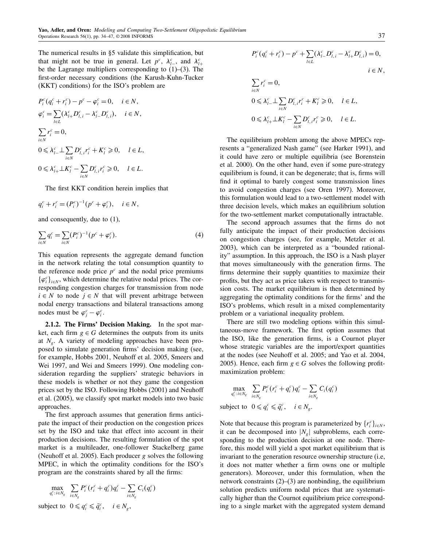The numerical results in §5 validate this simplification, but that might not be true in general. Let  $p^c$ ,  $\lambda_{l-1}^c$ , and  $\lambda_{l+1}^c$ be the Lagrange multipliers corresponding to  $(1)$ – $(3)$ . The first-order necessary conditions (the Karush-Kuhn-Tucker (KKT) conditions) for the ISO's problem are

$$
P_i^c(q_i^c + r_i^c) - p^c - \varphi_i^c = 0, \quad i \in N,
$$
  
\n
$$
\varphi_i^c = \sum_{l \in L} (\lambda_{l+}^c D_{l,i}^c - \lambda_{l-}^c D_{l,i}^c), \quad i \in N,
$$
  
\n
$$
\sum_{i \in N} r_i^c = 0,
$$
  
\n
$$
0 \le \lambda_{l-}^c \perp \sum_{i \in N} D_{l,i}^c r_i^c + K_l^c \ge 0, \quad l \in L,
$$
  
\n
$$
0 \le \lambda_{l+}^c \perp K_l^c - \sum_{i \in N} D_{l,i}^c r_i^c \ge 0, \quad l \in L.
$$

The first KKT condition herein implies that

$$
q_i^c + r_i^c = (P_i^c)^{-1}(p^c + \varphi_i^c), \quad i \in N,
$$

and consequently, due to (1),

$$
\sum_{i \in N} q_i^c = \sum_{i \in N} (P_i^c)^{-1} (p^c + \varphi_i^c).
$$
 (4)

This equation represents the aggregate demand function in the network relating the total consumption quantity to the reference node price  $p<sup>c</sup>$  and the nodal price premiums  $\{\varphi_i^c\}_{i\in\mathbb{N}}$ , which determine the relative nodal prices. The corresponding congestion charges for transmission from node  $i \in N$  to node  $j \in N$  that will prevent arbitrage between nodal energy transactions and bilateral transactions among nodes must be  $\varphi_j^c - \varphi_i^c$ .

2.1.2. The Firms' Decision Making. In the spot market, each firm  $g \in G$  determines the outputs from its units at  $N_g$ . A variety of modeling approaches have been proposed to simulate generation firms' decision making (see, for example, Hobbs 2001, Neuhoff et al. 2005, Smeers and Wei 1997, and Wei and Smeers 1999). One modeling consideration regarding the suppliers' strategic behaviors in these models is whether or not they game the congestion prices set by the ISO. Following Hobbs (2001) and Neuhoff et al. (2005), we classify spot market models into two basic approaches.

The first approach assumes that generation firms anticipate the impact of their production on the congestion prices set by the ISO and take that effect into account in their production decisions. The resulting formulation of the spot market is a multileader, one-follower Stackelberg game (Neuhoff et al. 2005). Each producer g solves the following MPEC, in which the optimality conditions for the ISO's program are the constraints shared by all the firms:

$$
\max_{q_i^c: i \in N_g} \sum_{i \in N_g} P_i^c(r_i^c + q_i^c) q_i^c - \sum_{i \in N_g} C_i(q_i^c)
$$
\n
$$
\text{subject to } 0 \leqslant q_i^c \leqslant \bar{q}_i^c, \quad i \in N_g,
$$

$$
P_i^c(q_i^c + r_i^c) - p^c + \sum_{l \in L} (\lambda_{l-}^c D_{l,i}^c - \lambda_{l+}^c D_{l,i}^c) = 0,
$$
  
 $i \in N,$ 

$$
\sum_{i \in N} r_i^c = 0,
$$
  
\n
$$
0 \leq \lambda_{l-}^c \perp \sum_{i \in N} D_{l,i}^c r_i^c + K_l^c \geq 0, \quad l \in L,
$$
  
\n
$$
0 \leq \lambda_{l+}^c \perp K_l^c - \sum_{i \in N} D_{l,i}^c r_i^c \geq 0, \quad l \in L.
$$

The equilibrium problem among the above MPECs represents a "generalized Nash game" (see Harker 1991), and it could have zero or multiple equilibria (see Borenstein et al. 2000). On the other hand, even if some pure-strategy equilibrium is found, it can be degenerate; that is, firms will find it optimal to barely congest some transmission lines to avoid congestion charges (see Oren 1997). Moreover, this formulation would lead to a two-settlement model with three decision levels, which makes an equilibrium solution for the two-settlement market computationally intractable.

The second approach assumes that the firms do not fully anticipate the impact of their production decisions on congestion charges (see, for example, Metzler et al. 2003), which can be interpreted as a "bounded rationality" assumption. In this approach, the ISO is a Nash player that moves simultaneously with the generation firms. The firms determine their supply quantities to maximize their profits, but they act as price takers with respect to transmission costs. The market equilibrium is then determined by aggregating the optimality conditions for the firms' and the ISO's problems, which result in a mixed complementarity problem or a variational inequality problem.

There are still two modeling options within this simultaneous-move framework. The first option assumes that the ISO, like the generation firms, is a Cournot player whose strategic variables are the import/export quantities at the nodes (see Neuhoff et al. 2005; and Yao et al. 2004, 2005). Hence, each firm  $g \in G$  solves the following profitmaximization problem:

$$
\max_{q_i^c: i \in N_g} \sum_{i \in N_g} P_i^c(r_i^c + q_i^c) q_i^c - \sum_{i \in N_g} C_i(q_i^c)
$$
\nsubject to  $0 \leq q_i^c \leq \bar{q}_i^c, \quad i \in N_g$ .

Note that because this program is parameterized by  $\{r_i^c\}_{i \in N}$ , it can be decomposed into  $|N_{g}|$  subproblems, each corresponding to the production decision at one node. Therefore, this model will yield a spot market equilibrium that is invariant to the generation resource ownership structure (i.e, it does not matter whether a firm owns one or multiple generators). Moreover, under this formulation, when the network constraints (2)–(3) are nonbinding, the equilibrium solution predicts uniform nodal prices that are systematically higher than the Cournot equilibrium price corresponding to a single market with the aggregated system demand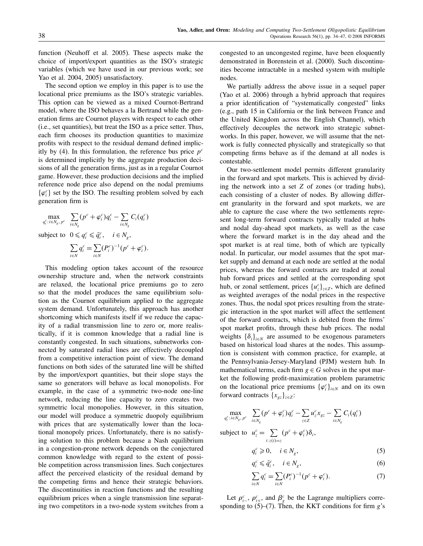function (Neuhoff et al. 2005). These aspects make the choice of import/export quantities as the ISO's strategic variables (which we have used in our previous work; see Yao et al. 2004, 2005) unsatisfactory.

The second option we employ in this paper is to use the locational price premiums as the ISO's strategic variables. This option can be viewed as a mixed Cournot-Bertrand model, where the ISO behaves a la Bertrand while the generation firms are Cournot players with respect to each other (i.e., set quantities), but treat the ISO as a price setter. Thus, each firm chooses its production quantities to maximize profits with respect to the residual demand defined implicitly by (4). In this formulation, the reference bus price  $p<sup>c</sup>$ is determined implicitly by the aggregate production decisions of all the generation firms, just as in a regular Cournot game. However, these production decisions and the implied reference node price also depend on the nodal premiums  $\{\varphi_i^c\}$  set by the ISO. The resulting problem solved by each generation firm is

$$
\max_{q_i^c:i\in N_g, p^c} \sum_{i\in N_g} (p^c + \varphi_i^c) q_i^c - \sum_{i\in N_g} C_i(q_i^c)
$$
\n
$$
\text{subject to } 0 \leqslant q_i^c \leqslant \bar{q}_i^c, \quad i \in N_g,
$$
\n
$$
\sum_{i\in N} q_i^c = \sum_{i\in N} (P_i^c)^{-1} (p^c + \varphi_i^c).
$$

This modeling option takes account of the resource ownership structure and, when the network constraints are relaxed, the locational price premiums go to zero so that the model produces the same equilibrium solution as the Cournot equilibrium applied to the aggregate system demand. Unfortunately, this approach has another shortcoming which manifests itself if we reduce the capacity of a radial transmission line to zero or, more realistically, if it is common knowledge that a radial line is constantly congested. In such situations, subnetworks connected by saturated radial lines are effectively decoupled from a competitive interaction point of view. The demand functions on both sides of the saturated line will be shifted by the import/export quantities, but their slope stays the same so generators will behave as local monopolists. For example, in the case of a symmetric two-node one-line network, reducing the line capacity to zero creates two symmetric local monopolies. However, in this situation, our model will produce a symmetric duopoly equilibrium with prices that are systematically lower than the locational monopoly prices. Unfortunately, there is no satisfying solution to this problem because a Nash equilibrium in a congestion-prone network depends on the conjectured common knowledge with regard to the extent of possible competition across transmission lines. Such conjectures affect the perceived elasticity of the residual demand by the competing firms and hence their strategic behaviors. The discontinuities in reaction functions and the resulting equilibrium prices when a single transmission line separating two competitors in a two-node system switches from a

congested to an uncongested regime, have been eloquently demonstrated in Borenstein et al. (2000). Such discontinuities become intractable in a meshed system with multiple nodes.

We partially address the above issue in a sequel paper (Yao et al. 2006) through a hybrid approach that requires a prior identification of "systematically congested" links (e.g., path 15 in California or the link between France and the United Kingdom across the English Channel), which effectively decouples the network into strategic subnetworks. In this paper, however, we will assume that the network is fully connected physically and strategically so that competing firms behave as if the demand at all nodes is contestable.

Our two-settlement model permits different granularity in the forward and spot markets. This is achieved by dividing the network into a set Z of zones (or trading hubs), each consisting of a cluster of nodes. By allowing different granularity in the forward and spot markets, we are able to capture the case where the two settlements represent long-term forward contracts typically traded at hubs and nodal day-ahead spot markets, as well as the case where the forward market is in the day ahead and the spot market is at real time, both of which are typically nodal. In particular, our model assumes that the spot market supply and demand at each node are settled at the nodal prices, whereas the forward contracts are traded at zonal hub forward prices and settled at the corresponding spot hub, or zonal settlement, prices  $\{u_z^c\}_{z \in \mathbb{Z}}$ , which are defined as weighted averages of the nodal prices in the respective zones. Thus, the nodal spot prices resulting from the strategic interaction in the spot market will affect the settlement of the forward contracts, which is debited from the firms' spot market profits, through these hub prices. The nodal weights  $\{\delta_i\}_{i\in\mathbb{N}}$  are assumed to be exogenous parameters based on historical load shares at the nodes. This assumption is consistent with common practice, for example, at the Pennsylvania-Jersey-Maryland (PJM) western hub. In mathematical terms, each firm  $g \in G$  solves in the spot market the following profit-maximization problem parametric on the locational price premiums  $\{\varphi_i^c\}_{i\in N}$  and on its own forward contracts  $\{x_{gz}\}_{z\in\mathbb{Z}}$ :

$$
\max_{q_i^c:i \in N_g, p^c} \sum_{i \in N_g} (p^c + \varphi_i^c) q_i^c - \sum_{z \in Z} u_z^c x_{gz} - \sum_{i \in N_g} C_i(q_i^c)
$$
\n
$$
\text{subject to} \quad u_z^c = \sum_{i: z(i) = z} (p^c + \varphi_i^c) \delta_i,
$$
\n
$$
q_i^c \geq 0, \quad i \in N_g,
$$
\n
$$
(5)
$$

$$
q_i^c \leqslant \bar{q}_i^c, \quad i \in N_g,\tag{6}
$$

$$
\sum q_i^c = \sum (P_i^c)^{-1} (p^c + \varphi_i^c).
$$
 (7)

Let  $\rho_{i-}^c$ ,  $\rho_{i+}^c$ , and  $\beta_g^c$  be the Lagrange multipliers corresponding to  $(5)$ – $(7)$ . Then, the KKT conditions for firm g's

i∈N

i∈N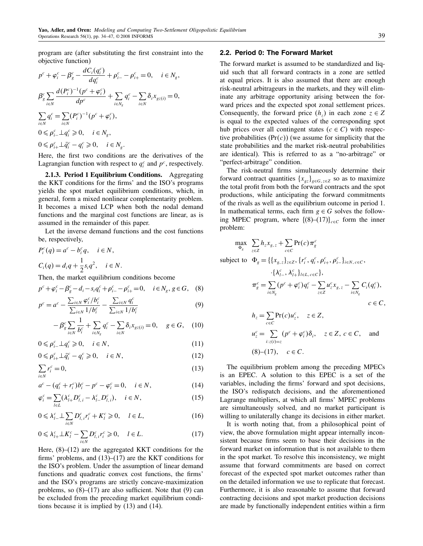program are (after substituting the first constraint into the objective function)

$$
p^{c} + \varphi_{i}^{c} - \beta_{g}^{c} - \frac{dC_{i}(q_{i}^{c})}{dq_{i}^{c}} + \rho_{i-}^{c} - \rho_{i+}^{c} = 0, \quad i \in N_{g},
$$
  
\n
$$
\beta_{g}^{c} \sum_{i \in N} \frac{d(P_{i}^{c})^{-1}(p^{c} + \varphi_{i}^{c})}{dp^{c}} + \sum_{i \in N_{g}} q_{i}^{c} - \sum_{i \in N} \delta_{i} x_{gz(i)} = 0,
$$
  
\n
$$
\sum_{i \in N} q_{i}^{c} = \sum_{i \in N} (P_{i}^{c})^{-1}(p^{c} + \varphi_{i}^{c}),
$$
  
\n
$$
0 \leq \rho_{i-}^{c} \perp q_{i}^{c} \geq 0, \quad i \in N_{g},
$$
  
\n
$$
0 \leq \rho_{i+}^{c} \perp \bar{q}_{i}^{c} - q_{i}^{c} \geq 0, \quad i \in N_{g}.
$$

Here, the first two conditions are the derivatives of the Lagrangian function with respect to  $q_i^c$  and  $p^c$ , respectively.

2.1.3. Period 1 Equilibrium Conditions. Aggregating the KKT conditions for the firms' and the ISO's programs yields the spot market equilibrium conditions, which, in general, form a mixed nonlinear complementarity problem. It becomes a mixed LCP when both the nodal demand functions and the marginal cost functions are linear, as is assumed in the remainder of this paper.

Let the inverse demand functions and the cost functions be, respectively,

$$
P_i^c(q) = a^c - b_i^c q, \quad i \in N,
$$
  
\n
$$
C_i(q) = d_i q + \frac{1}{2} s_i q^2, \quad i \in N.
$$

Then, the market equilibrium conditions become

$$
p^{c} + \varphi_{i}^{c} - \beta_{g}^{c} - d_{i} - s_{i}q_{i}^{c} + \rho_{i}^{c} - \rho_{i+}^{c} = 0, \quad i \in N_{g}, g \in G, \quad (8)
$$
  

$$
p_{i}^{c} = a^{c} - \frac{\sum_{i \in N} \varphi_{i}^{c} / b_{i}^{c}}{\sqrt{g_{i}^{c} - \sum_{i \in N} q_{i}^{c}}} \qquad (9)
$$

$$
p^{c} = a^{c} - \frac{\sum_{i \in N} \psi_{i} / \psi_{i}}{\sum_{i \in N} 1 / b_{i}^{c}} - \frac{\sum_{i \in N} q_{i}}{\sum_{i \in N} 1 / b_{i}^{c}}
$$
(9)

$$
-\beta_g^c \sum_{i \in N} \frac{1}{b_i^c} + \sum_{i \in N_g} q_i^c - \sum_{i \in N} \delta_i x_{gz(i)} = 0, \quad g \in G, \quad (10)
$$

$$
0 \leq \rho_{i-}^c \perp q_i^c \geq 0, \quad i \in N,
$$
\n<sup>(11)</sup>

$$
0 \leq \rho_{i+}^c \perp \bar{q}_i^c - q_i^c \geq 0, \quad i \in N,
$$
\n
$$
(12)
$$

$$
\sum_{i \in N} r_i^c = 0,\tag{13}
$$

$$
a^{c} - (q_{i}^{c} + r_{i}^{c})b_{i}^{c} - p^{c} - \varphi_{i}^{c} = 0, \quad i \in N,
$$
\n(14)

$$
\varphi_i^c = \sum_{l \in L} (\lambda_{l+}^c D_{l,i}^c - \lambda_{l-}^c D_{l,i}^c), \quad i \in N,
$$
\n(15)

$$
0 \leq \lambda_{l-}^c \perp \sum_{i \in N} D_{l,i}^c r_i^c + K_l^c \geq 0, \quad l \in L,
$$
\n(16)

$$
0 \leq \lambda_{l+}^c \perp K_l^c - \sum_{i \in N} D_{l,i}^c r_i^c \geq 0, \quad l \in L. \tag{17}
$$

Here,  $(8)$ – $(12)$  are the aggregated KKT conditions for the firms' problems, and (13)–(17) are the KKT conditions for the ISO's problem. Under the assumption of linear demand functions and quadratic convex cost functions, the firms' and the ISO's programs are strictly concave-maximization problems, so  $(8)$ – $(17)$  are also sufficient. Note that  $(9)$  can be excluded from the preceding market equilibrium conditions because it is implied by (13) and (14).

#### 2.2. Period 0: The Forward Market

The forward market is assumed to be standardized and liquid such that all forward contracts in a zone are settled at equal prices. It is also assumed that there are enough risk-neutral arbitrageurs in the markets, and they will eliminate any arbitrage opportunity arising between the forward prices and the expected spot zonal settlement prices. Consequently, the forward price  $(h_z)$  in each zone  $z \in Z$ is equal to the expected values of the corresponding spot hub prices over all contingent states ( $c \in C$ ) with respective probabilities  $(\Pr(c))$  (we assume for simplicity that the state probabilities and the market risk-neutral probabilities are identical). This is referred to as a "no-arbitrage" or "perfect-arbitrage" condition.

The risk-neutral firms simultaneously determine their forward contract quantities  $\{x_{gz}\}_{g \in G, z \in Z}$  so as to maximize the total profit from both the forward contracts and the spot productions, while anticipating the forward commitments of the rivals as well as the equilibrium outcome in period 1. In mathematical terms, each firm  $g \in G$  solves the following MPEC program, where  $\{(8)-(17)\}_{c\in\mathbb{C}}$  form the inner problem:

$$
\max_{\Phi_g} \sum_{z \in Z} h_z x_{g,z} + \sum_{c \in C} \Pr(c) \pi_g^c
$$
\nsubject to 
$$
\Phi_g = \{ \{x_{g,z}\}_{z \in Z}, \{r_i^c, q_i^c, \rho_{i+}^c, \rho_{i-}^c\}_{i \in N, c \in C},
$$
\n
$$
\cdot \{ \lambda_{l-}^c, \lambda_{l+}^c \}_{l \in L, c \in C} \},
$$
\n
$$
\pi_g^c = \sum_{i \in N_g} (p^c + \varphi_i^c) q_i^c - \sum_{z \in Z} u_z^c x_{g,z} - \sum_{i \in N_g} C_i (q_i^c),
$$
\n
$$
c \in C,
$$
\n
$$
h_z = \sum_{c \in C} \Pr(c) u_z^c, \quad z \in Z,
$$
\n
$$
u_z^c = \sum_{i \in N_g} (p^c + \varphi_i^c) \delta_i, \quad z \in Z, c \in C, \text{ and}
$$

$$
\mu_z - \sum_{i:z(i)=z} (\rho + \varphi_i)\sigma_i, \quad z \in \mathbb{Z}, \, t \in \mathbb{C}, \text{ and}
$$
  
(8)-(17),  $c \in \mathbb{C}$ .

The equilibrium problem among the preceding MPECs is an EPEC. A solution to this EPEC is a set of the variables, including the firms' forward and spot decisions, the ISO's redispatch decisions, and the aforementioned Lagrange multipliers, at which all firms' MPEC problems are simultaneously solved, and no market participant is willing to unilaterally change its decisions in either market.

It is worth noting that, from a philosophical point of view, the above formulation might appear internally inconsistent because firms seem to base their decisions in the forward market on information that is not available to them in the spot market. To resolve this inconsistency, we might assume that forward commitments are based on correct forecast of the expected spot market outcomes rather than on the detailed information we use to replicate that forecast. Furthermore, it is also reasonable to assume that forward contracting decisions and spot market production decisions are made by functionally independent entities within a firm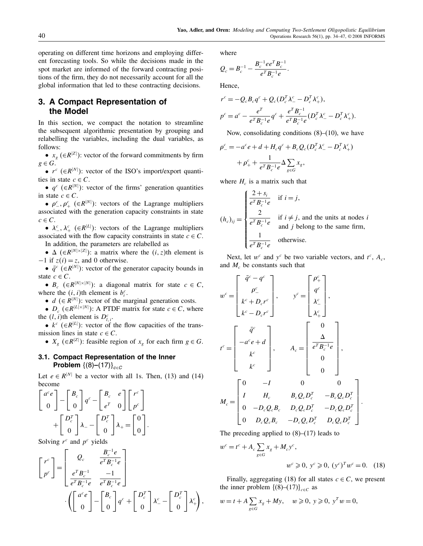operating on different time horizons and employing different forecasting tools. So while the decisions made in the spot market are informed of the forward contracting positions of the firm, they do not necessarily account for all the global information that led to these contracting decisions.

# 3. A Compact Representation of the Model

In this section, we compact the notation to streamline the subsequent algorithmic presentation by grouping and relabelling the variables, including the dual variables, as follows:

•  $x_g$  ( $\in R^{|Z|}$ ): vector of the forward commitments by firm  $g \in G$ .

•  $r^c$  ( $\in R^{|N|}$ ): vector of the ISO's import/export quantities in state  $c \in C$ .

•  $q^c$  ( $\in R^{|N|}$ ): vector of the firms' generation quantities in state  $c \in C$ .

•  $\rho_-^c$ ,  $\rho_+^c$  ( $\in R^{|N|}$ ): vectors of the Lagrange multipliers associated with the generation capacity constraints in state  $c \in C$ .

•  $\lambda_-^c, \lambda_+^c \ (\in R^{|L|})$ : vectors of the Lagrange multipliers associated with the flow capacity constraints in state  $c \in C$ . In addition, the parameters are relabelled as

•  $\Delta$  ( $\in R^{|N| \times |Z|}$ ): a matrix where the  $(i, z)$ th element is  $-1$  if  $z(i) = z$ , and 0 otherwise.

•  $\bar{q}^c$  ( $\in R^{|N|}$ ): vector of the generator capacity bounds in state  $c \in C$ .

•  $B_c$  ( $\in R^{|N| \times |N|}$ ): a diagonal matrix for state  $c \in C$ , where the  $(i, i)$ th element is  $b_i^c$ .

•  $d \in R^{|N|}$ : vector of the marginal generation costs.

•  $D_c$  ( $\in R^{|L| \times |N|}$ ): A PTDF matrix for state  $c \in C$ , where the  $(l, i)$ th element is  $D_{l, i}^{c}$ .

•  $k^c$  ( $\in R^{|L|}$ ): vector of the flow capacities of the transmission lines in state  $c \in C$ .

•  $X_g$  ( $\in R^{|Z|}$ ): feasible region of  $x_g$  for each firm  $g \in G$ .

# 3.1. Compact Representation of the Inner Problem  $\{(8)-(17)\}_{c\in C}$

Let  $e \in R^{|N|}$  be a vector with all 1s. Then, (13) and (14) become

$$
\begin{bmatrix} a^c e \\ 0 \end{bmatrix} - \begin{bmatrix} B_c \\ 0 \end{bmatrix} q^c - \begin{bmatrix} B_c & e \\ e^T & 0 \end{bmatrix} \begin{bmatrix} r^c \\ p^c \end{bmatrix} + \begin{bmatrix} D_c^T \\ 0 \end{bmatrix} \lambda_- - \begin{bmatrix} D_c^T \\ 0 \end{bmatrix} \lambda_+ = \begin{bmatrix} 0 \\ 0 \end{bmatrix}.
$$

Solving  $r^c$  and  $p^c$  yields

$$
\begin{bmatrix} r^c \ p^c \end{bmatrix} = \begin{bmatrix} Q_c & \frac{B_c^{-1}e}{e^T B_c^{-1} e} \\ \frac{e^T B_c^{-1}}{e^T B_c^{-1} e} & \frac{-1}{e^T B_c^{-1} e} \end{bmatrix}
$$

$$
\cdot \left( \begin{bmatrix} a^c e \\ 0 \end{bmatrix} - \begin{bmatrix} B_c \\ 0 \end{bmatrix} q^c + \begin{bmatrix} D_c^T \\ 0 \end{bmatrix} \lambda_-^c - \begin{bmatrix} D_c^T \\ 0 \end{bmatrix} \lambda_+^c \right),
$$

where

$$
Q_c = B_c^{-1} - \frac{B_c^{-1} e e^T B_c^{-1}}{e^T B_c^{-1} e}.
$$

Hence,

$$
r^{c} = -Q_{c}B_{c}q^{c} + Q_{c}(D_{c}^{T}\lambda_{-}^{c} - D_{c}^{T}\lambda_{+}^{c}),
$$
  
\n
$$
p^{c} = a^{c} - \frac{e^{T}}{e^{T}B_{c}^{-1}e}q^{c} + \frac{e^{T}B_{c}^{-1}}{e^{T}B_{c}^{-1}e}(D_{c}^{T}\lambda_{-}^{c} - D_{c}^{T}\lambda_{+}^{c}).
$$

Now, consolidating conditions  $(8)$ – $(10)$ , we have

$$
\rho_-^c = -a^c e + d + H_c q^c + B_c Q_c (D_c^T \lambda_-^c - D_c^T \lambda_+^c)
$$
  
+ 
$$
\rho_+^c + \frac{1}{e^T B_c^{-1} e} \Delta \sum_{g \in G} x_g,
$$

where  $H_c$  is a matrix such that

$$
(h_c)_{ij} = \begin{cases} \frac{2+s_i}{e^T B_c^{-1} e} & \text{if } i = j, \\ \frac{2}{e^T B_c^{-1} e} & \text{if } i \neq j, \text{ and the units at nodes } i \\ \frac{1}{e^T B_c^{-1} e} & \text{otherwise.} \end{cases}
$$

Next, let  $w^c$  and  $y^c$  be two variable vectors, and  $t^c$ ,  $A_c$ , and  $M_c$  be constants such that

$$
w^{c} = \begin{bmatrix} \bar{q}^{c} - q^{c} \\ \rho_{-}^{c} \\ k^{c} + D_{c}r^{c} \\ k^{c} - D_{c}r^{c} \end{bmatrix}, \qquad y^{c} = \begin{bmatrix} \rho_{+}^{c} \\ q^{c} \\ \lambda_{-}^{c} \\ \lambda_{+}^{c} \end{bmatrix},
$$

$$
t^{c} = \begin{bmatrix} \bar{q}^{c} \\ -a^{c}e + d \\ k^{c} \\ k^{c} \end{bmatrix}, \qquad A_{c} = \begin{bmatrix} 0 \\ \frac{\Delta}{e^{T}B_{c}^{-1}e} \\ 0 \\ 0 \end{bmatrix},
$$

$$
M_{c} = \begin{bmatrix} 0 & -I & 0 & 0 \\ I & H_{c} & B_{c}Q_{c}D_{c}^{T} & -B_{c}Q_{c}D_{c}^{T} \\ 0 & -D_{c}Q_{c}B_{c} & D_{c}Q_{c}D_{c}^{T} & -D_{c}Q_{c}D_{c}^{T} \\ 0 & D_{c}Q_{c}B_{c} & -D_{c}Q_{c}D_{c}^{T} & D_{c}Q_{c}D_{c}^{T} \end{bmatrix}.
$$

The preceding applied to  $(8)$ – $(17)$  leads to

 $w^{\epsilon}$ 

$$
= t^{c} + A_{c} \sum_{g \in G} x_{g} + M_{c} y^{c},
$$
  

$$
w^{c} \geq 0, y^{c} \geq 0, (y^{c})^{T} w^{c} = 0.
$$
 (18)

Finally, aggregating (18) for all states  $c \in C$ , we present the inner problem  $\{(8)-(17)\}_{c\in C}$  as

$$
w = t + A \sum_{g \in G} x_g + My
$$
,  $w \ge 0$ ,  $y \ge 0$ ,  $y^T w = 0$ ,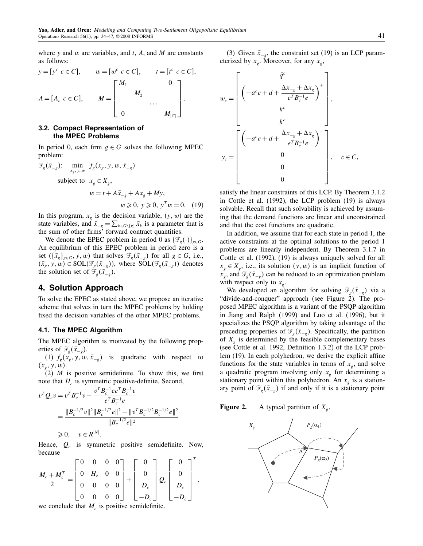where y and  $w$  are variables, and  $t$ ,  $A$ , and  $M$  are constants as follows:

$$
y = [y^{c} \ c \in C], \qquad w = [w^{c} \ c \in C], \qquad t = [t^{c} \ c \in C],
$$
  

$$
A = [A_{c} \ c \in C], \qquad M = \begin{bmatrix} M_{1} & & 0 \\ & M_{2} & \\ & & \cdots & \\ 0 & & & M_{|C|} \end{bmatrix}.
$$

#### 3.2. Compact Representation of the MPEC Problems

In period 0, each firm  $g \in G$  solves the following MPEC problem:

$$
\mathcal{F}_g(\bar{x}_{-g})\text{: } \lim_{x_g, y, w} f_g(x_g, y, w, \bar{x}_{-g})
$$
\n
$$
\text{subject to } x_g \in X_g,
$$
\n
$$
w = t + A\bar{x}_{-g} + Ax_g + My,
$$
\n
$$
w \ge 0, y \ge 0, y^T w = 0. \quad (19)
$$

In this program,  $x_e$  is the decision variable,  $(y, w)$  are the state variables, and  $\bar{x}_{-g} = \sum_{k \in G \setminus \{g\}} \bar{x}_k$  is a parameter that is the sum of other firms' forward contract quantities.

We denote the EPEC problem in period 0 as  $\{\mathcal{F}_g(\cdot)\}_{g \in G}$ . An equilibrium of this EPEC problem in period zero is a set  $(\{\bar{x}_e\}_{e \in G}, y, w)$  that solves  $\mathcal{F}_e(\bar{x}_{-e})$  for all  $g \in G$ , i.e.,  $(\bar{x}_g, y, w) \in SOL(\mathcal{T}_g(\bar{x}_{-g}))$ , where  $SOL(\mathcal{T}_g(\bar{x}_{-g}))$  denotes the solution set of  $\overline{\mathcal{F}}_g(\overline{x}_{-g})$ .

## 4. Solution Approach

To solve the EPEC as stated above, we propose an iterative scheme that solves in turn the MPEC problems by holding fixed the decision variables of the other MPEC problems.

#### 4.1. The MPEC Algorithm

The MPEC algorithm is motivated by the following properties of  $\mathcal{F}_g(\bar{x}_{-g})$ .

(1)  $f_{\rho}(x_{\rho}, y, w, \bar{x}_{-\rho})$  is quadratic with respect to  $(x_0, y, w)$ .

 $(2)$  *M* is positive semidefinite. To show this, we first note that  $H_c$  is symmetric positive-definite. Second,

$$
v^T Q_c v = v^T B_c^{-1} v - \frac{v^T B_c^{-1} e e^T B_c^{-1} v}{e^T B_c^{-1} e}
$$
  
= 
$$
\frac{\|B_c^{-1/2} v\|^2 \|B_c^{-1/2} e\|^2 - \|v^T B_c^{-1/2} B_c^{-1/2} e\|^2}{\|B_c^{-1/2} e\|^2}
$$
  

$$
\geq 0, \quad v \in R^{|N|}.
$$

Hence,  $Q_c$  is symmetric positive semidefinite. Now, because

$$
\frac{M_c + M_c^T}{2} = \begin{bmatrix} 0 & 0 & 0 & 0 \\ 0 & H_c & 0 & 0 \\ 0 & 0 & 0 & 0 \\ 0 & 0 & 0 & 0 \end{bmatrix} + \begin{bmatrix} 0 \\ 0 \\ D_c \\ -D_c \end{bmatrix} Q_c \begin{bmatrix} 0 \\ 0 \\ D_c \\ -D_c \end{bmatrix}^T,
$$

we conclude that  $M_c$  is positive semidefinite.

(3) Given  $\bar{x}_{-g}$ , the constraint set (19) is an LCP parameterized by  $x_{\varrho}$ . Moreover, for any  $x_{\varrho}$ ,

$$
w_c = \begin{bmatrix} \bar{q}^c \\ \left(-a^c e + d + \frac{\Delta x_{-g} + \Delta x_g}{e^T B_c^{-1} e}\right)^+ \\ k^c \\ k^c \\ k^c \\ y_c = \begin{bmatrix} \left(-a^c e + d + \frac{\Delta x_{-g} + \Delta x_g}{e^T B_c^{-1} e}\right)^- \\ 0 \\ 0 \\ 0 \\ 0 \end{bmatrix}, & c \in C,
$$

satisfy the linear constraints of this LCP. By Theorem 3.1.2 in Cottle et al. (1992), the LCP problem (19) is always solvable. Recall that such solvability is achieved by assuming that the demand functions are linear and unconstrained and that the cost functions are quadratic.

In addition, we assume that for each state in period 1, the active constraints at the optimal solutions to the period 1 problems are linearly independent. By Theorem 3.1.7 in Cottle et al. (1992), (19) is always uniquely solved for all  $x_{\varphi} \in X_{\varphi}$ , i.e., its solution  $(y, w)$  is an implicit function of  $x_g$ , and  $\mathcal{F}_g(\bar{x}_{-g})$  can be reduced to an optimization problem with respect only to  $x_{\varrho}$ .

We developed an algorithm for solving  $\mathcal{F}_o(\bar{x}_{-o})$  via a "divide-and-conquer" approach (see Figure 2). The proposed MPEC algorithm is a variant of the PSQP algorithm in Jiang and Ralph (1999) and Luo et al. (1996), but it specializes the PSQP algorithm by taking advantage of the preceding properties of  $\mathcal{F}_g(\bar{x}_{-g})$ . Specifically, the partition of  $X_{\varphi}$  is determined by the feasible complementary bases (see Cottle et al. 1992, Definition 1.3.2) of the LCP problem (19). In each polyhedron, we derive the explicit affine functions for the state variables in terms of  $x_g$ , and solve a quadratic program involving only  $x<sub>e</sub>$  for determining a stationary point within this polyhedron. An  $x_g$  is a stationary point of  $\mathcal{F}_{\rho}(\bar{x}_{-\rho})$  if and only if it is a stationary point

**Figure 2.** A typical partition of  $X<sub>o</sub>$ .

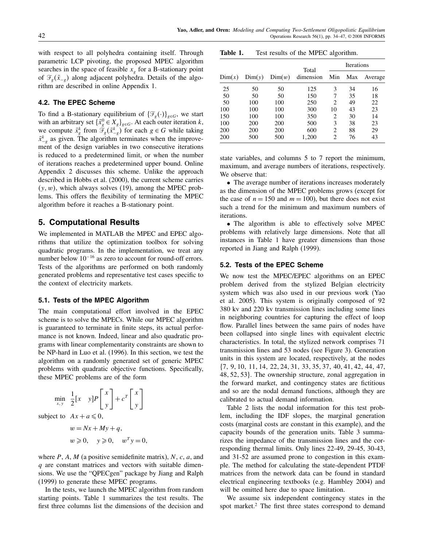with respect to all polyhedra containing itself. Through parametric LCP pivoting, the proposed MPEC algorithm searches in the space of feasible  $x<sub>g</sub>$  for a B-stationary point of  $\mathcal{F}_{\rho}(\bar{x}_{-\rho})$  along adjacent polyhedra. Details of the algorithm are described in online Appendix 1.

#### 4.2. The EPEC Scheme

To find a B-stationary equilibrium of  $\{\mathcal{F}_g(\cdot)\}_{g \in G}$ , we start with an arbitrary set  $\{\bar{x}_g^0 \in X_g\}_{g \in G}$ . At each outer iteration k, we compute  $\bar{x}^k_g$  from  $\bar{\mathcal{F}}_g(\bar{x}^k_{-g})$  for each  $g \in G$  while taking  $\bar{x}^k_{-g}$  as given. The algorithm terminates when the improvement of the design variables in two consecutive iterations is reduced to a predetermined limit, or when the number of iterations reaches a predetermined upper bound. Online Appendix 2 discusses this scheme. Unlike the approach described in Hobbs et al. (2000), the current scheme carries  $(y, w)$ , which always solves (19), among the MPEC problems. This offers the flexibility of terminating the MPEC algorithm before it reaches a B-stationary point.

#### 5. Computational Results

We implemented in MATLAB the MPEC and EPEC algorithms that utilize the optimization toolbox for solving quadratic programs. In the implementation, we treat any number below 10<sup>-16</sup> as zero to account for round-off errors. Tests of the algorithms are performed on both randomly generated problems and representative test cases specific to the context of electricity markets.

#### 5.1. Tests of the MPEC Algorithm

The main computational effort involved in the EPEC scheme is to solve the MPECs. While our MPEC algorithm is guaranteed to terminate in finite steps, its actual performance is not known. Indeed, linear and also quadratic programs with linear complementarity constraints are shown to be NP-hard in Luo et al. (1996). In this section, we test the algorithm on a randomly generated set of generic MPEC problems with quadratic objective functions. Specifically, these MPEC problems are of the form

$$
\min_{x,y} \frac{1}{2} [x \quad y] P\left[\begin{array}{c} x \\ y \end{array}\right] + c^T \left[\begin{array}{c} x \\ y \end{array}\right]
$$

subject to  $Ax + a \leq 0$ ,

$$
w = Nx + My + q,
$$
  

$$
w \ge 0, \quad y \ge 0, \quad w^T y = 0,
$$

where  $P$ ,  $A$ ,  $M$  (a positive semidefinite matrix),  $N$ ,  $c$ ,  $a$ , and  $q$  are constant matrices and vectors with suitable dimensions. We use the "QPECgen" package by Jiang and Ralph (1999) to generate these MPEC programs.

In the tests, we launch the MPEC algorithm from random starting points. Table 1 summarizes the test results. The first three columns list the dimensions of the decision and

Table 1. Test results of the MPEC algorithm.

|        |        |        | Total     | <b>Iterations</b> |     |         |  |
|--------|--------|--------|-----------|-------------------|-----|---------|--|
| Dim(x) | Dim(v) | Dim(w) | dimension | Min               | Max | Average |  |
| 25     | 50     | 50     | 125       | 3                 | 34  | 16      |  |
| 50     | 50     | 50     | 150       | 7                 | 35  | 18      |  |
| 50     | 100    | 100    | 250       | 2                 | 49  | 22      |  |
| 100    | 100    | 100    | 300       | 10                | 43  | 23      |  |
| 150    | 100    | 100    | 350       | 2                 | 30  | 14      |  |
| 100    | 200    | 200    | 500       | 3                 | 38  | 23      |  |
| 200    | 200    | 200    | 600       | 2                 | 88  | 29      |  |
| 200    | 500    | 500    | 1,200     | 2                 | 76  | 43      |  |

state variables, and columns 5 to 7 report the minimum, maximum, and average numbers of iterations, respectively. We observe that:

• The average number of iterations increases moderately as the dimension of the MPEC problems grows (except for the case of  $n = 150$  and  $m = 100$ ), but there does not exist such a trend for the minimum and maximum numbers of iterations.

• The algorithm is able to effectively solve MPEC problems with relatively large dimensions. Note that all instances in Table 1 have greater dimensions than those reported in Jiang and Ralph (1999).

#### 5.2. Tests of the EPEC Scheme

We now test the MPEC/EPEC algorithms on an EPEC problem derived from the stylized Belgian electricity system which was also used in our previous work (Yao et al. 2005). This system is originally composed of 92 380 kv and 220 kv transmission lines including some lines in neighboring countries for capturing the effect of loop flow. Parallel lines between the same pairs of nodes have been collapsed into single lines with equivalent electric characteristics. In total, the stylized network comprises 71 transmission lines and 53 nodes (see Figure 3). Generation units in this system are located, respectively, at the nodes  $\{7, 9, 10, 11, 14, 22, 24, 31, 33, 35, 37, 40, 41, 42, 44, 47,$ 48 52 53. The ownership structure, zonal aggregation in the forward market, and contingency states are fictitious and so are the nodal demand functions, although they are calibrated to actual demand information.

Table 2 lists the nodal information for this test problem, including the IDF slopes, the marginal generation costs (marginal costs are constant in this example), and the capacity bounds of the generation units. Table 3 summarizes the impedance of the transmission lines and the corresponding thermal limits. Only lines 22-49, 29-45, 30-43, and 31-52 are assumed prone to congestion in this example. The method for calculating the state-dependent PTDF matrices from the network data can be found in standard electrical engineering textbooks (e.g. Hambley 2004) and will be omitted here due to space limitation.

We assume six independent contingency states in the spot market.<sup>2</sup> The first three states correspond to demand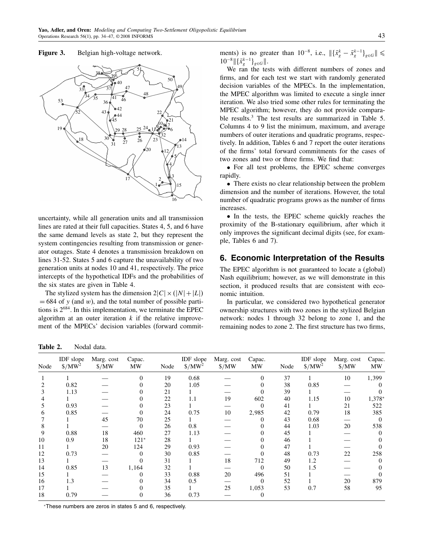Figure 3. Belgian high-voltage network.



uncertainty, while all generation units and all transmission lines are rated at their full capacities. States 4, 5, and 6 have the same demand levels as state 2, but they represent the system contingencies resulting from transmission or generator outages. State 4 denotes a transmission breakdown on lines 31-52. States 5 and 6 capture the unavailability of two generation units at nodes 10 and 41, respectively. The price intercepts of the hypothetical IDFs and the probabilities of the six states are given in Table 4.

The stylized system has the dimension  $2|C| \times (|N|+|L|)$  $= 684$  of y (and w), and the total number of possible partitions is  $2^{684}$ . In this implementation, we terminate the EPEC algorithm at an outer iteration  $k$  if the relative improvement of the MPECs' decision variables (forward commit-

ments) is no greater than  $10^{-8}$ , i.e.,  $\|\{\bar{x}_g^k - \bar{x}_g^{k-1}\}_{g \in G}\| \le$  $10^{-8}$  $\|\{\bar{x}_{g}^{k-1}\}_{{g\in G}}\|$ .

We ran the tests with different numbers of zones and firms, and for each test we start with randomly generated decision variables of the MPECs. In the implementation, the MPEC algorithm was limited to execute a single inner iteration. We also tried some other rules for terminating the MPEC algorithm; however, they do not provide comparable results.<sup>3</sup> The test results are summarized in Table 5. Columns 4 to 9 list the minimum, maximum, and average numbers of outer iterations and quadratic programs, respectively. In addition, Tables 6 and 7 report the outer iterations of the firms' total forward commitments for the cases of two zones and two or three firms. We find that:

• For all test problems, the EPEC scheme converges rapidly.

• There exists no clear relationship between the problem dimension and the number of iterations. However, the total number of quadratic programs grows as the number of firms increases.

• In the tests, the EPEC scheme quickly reaches the proximity of the B-stationary equilibrium, after which it only improves the significant decimal digits (see, for example, Tables 6 and 7).

## 6. Economic Interpretation of the Results

The EPEC algorithm is not guaranteed to locate a (global) Nash equilibrium; however, as we will demonstrate in this section, it produced results that are consistent with economic intuition.

In particular, we considered two hypothetical generator ownership structures with two zones in the stylized Belgian network: nodes 1 through 32 belong to zone 1, and the remaining nodes to zone 2. The first structure has two firms,

Table 2. Nodal data.

| Node | <b>IDF</b> slope<br>$\frac{\text{S}}{\text{MW}^2}$ | Marg. cost<br>MW | Capac.<br><b>MW</b> | Node | <b>IDF</b> slope<br>$\frac{\text{S}}{\text{MW}^2}$ | Marg. cost<br>MW | Capac.<br><b>MW</b> | Node | <b>IDF</b> slope<br>$\frac{\text{S}}{\text{MW}^2}$ | Marg. cost<br>MW | Capac.<br><b>MW</b> |
|------|----------------------------------------------------|------------------|---------------------|------|----------------------------------------------------|------------------|---------------------|------|----------------------------------------------------|------------------|---------------------|
|      |                                                    |                  | $\Omega$            | 19   | 0.68                                               |                  | $\Omega$            | 37   |                                                    | 10               | 1,399               |
|      | 0.82                                               |                  | $\theta$            | 20   | 1.05                                               |                  | $\bf{0}$            | 38   | 0.85                                               |                  |                     |
|      | 1.13                                               |                  |                     | 21   |                                                    |                  | 0                   | 39   |                                                    |                  |                     |
| 4    |                                                    |                  | $\theta$            | 22   | 1.1                                                | 19               | 602                 | 40   | 1.15                                               | 10               | 1,378*              |
|      | 0.93                                               |                  | $\Omega$            | 23   |                                                    |                  | $\theta$            | 41   |                                                    | 21               | 522                 |
| 6    | 0.85                                               |                  | $\Omega$            | 24   | 0.75                                               | 10               | 2,985               | 42   | 0.79                                               | 18               | 385                 |
|      |                                                    | 45               | 70                  | 25   |                                                    |                  | $\Omega$            | 43   | 0.68                                               |                  | $\overline{0}$      |
| 8    |                                                    |                  | $\mathbf{0}$        | 26   | 0.8                                                |                  | $^{(1)}$            | 44   | 1.03                                               | 20               | 538                 |
| 9    | 0.88                                               | 18               | 460                 | 27   | 1.13                                               |                  | $^{(1)}$            | 45   |                                                    |                  | $\Omega$            |
| 10   | 0.9                                                | 18               | $121*$              | 28   |                                                    |                  | 0                   | 46   |                                                    |                  |                     |
| 11   |                                                    | 20               | 124                 | 29   | 0.93                                               |                  | $\Omega$            | 47   |                                                    |                  |                     |
| 12   | 0.73                                               |                  | $\Omega$            | 30   | 0.85                                               |                  | 0                   | 48   | 0.73                                               | 22               | 258                 |
| 13   |                                                    |                  | $\Omega$            | 31   |                                                    | 18               | 712                 | 49   | 1.2                                                |                  | $\Omega$            |
| 14   | 0.85                                               | 13               | 1,164               | 32   |                                                    |                  | $\Omega$            | 50   | 1.5                                                |                  |                     |
| 15   |                                                    |                  | $\theta$            | 33   | 0.88                                               | 20               | 496                 | 51   |                                                    |                  |                     |
| 16   | 1.3                                                |                  | $\theta$            | 34   | 0.5                                                |                  | $\Omega$            | 52   |                                                    | 20               | 879                 |
| 17   |                                                    |                  | $\Omega$            | 35   |                                                    | 25               | 1,053               | 53   | 0.7                                                | 58               | 95                  |
| 18   | 0.79                                               |                  | $\Omega$            | 36   | 0.73                                               |                  | $\Omega$            |      |                                                    |                  |                     |

<sup>∗</sup>These numbers are zeros in states 5 and 6, respectively.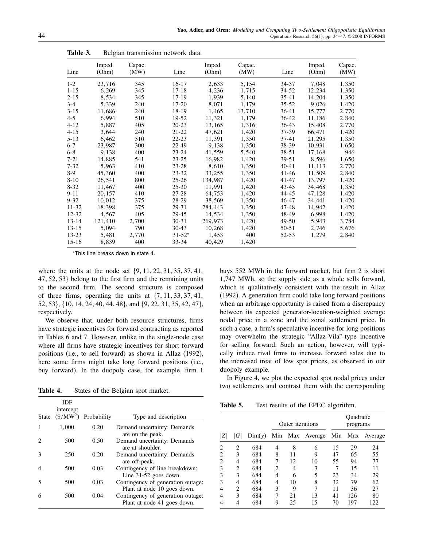| Line      | Imped.<br>(Ohm) | Capac.<br>(MW) | Line      | Imped.<br>(Ohm) | Capac.<br>(MW) | Line      | Imped.<br>(Ohm) | Capac.<br>(MW) |
|-----------|-----------------|----------------|-----------|-----------------|----------------|-----------|-----------------|----------------|
| $1-2$     | 23,716          | 345            | $16-17$   | 2,633           | 5,154          | 34-37     | 7,048           | 1,350          |
| $1 - 15$  | 6,269           | 345            | $17 - 18$ | 4,236           | 1,715          | 34-52     | 12,234          | 1,350          |
| $2 - 15$  | 8,534           | 345            | 17-19     | 1,939           | 5,140          | $35-41$   | 14,204          | 1,350          |
| $3-4$     | 5,339           | 240            | $17 - 20$ | 8,071           | 1,179          | $35 - 52$ | 9,026           | 1,420          |
| $3 - 15$  | 11,686          | 240            | 18-19     | 1,465           | 13,710         | 36-41     | 15,777          | 2,770          |
| $4 - 5$   | 6,994           | 510            | 19-52     | 11,321          | 1,179          | 36-42     | 11,186          | 2,840          |
| $4 - 12$  | 5,887           | 405            | $20 - 23$ | 13,165          | 1,316          | 36-43     | 15,408          | 2,770          |
| $4 - 15$  | 3,644           | 240            | $21 - 22$ | 47,621          | 1,420          | 37-39     | 66,471          | 1,420          |
| $5 - 13$  | 6,462           | 510            | $22 - 23$ | 11,391          | 1,350          | $37-41$   | 21,295          | 1,350          |
| $6 - 7$   | 23,987          | 300            | 22-49     | 9,138           | 1,350          | 38-39     | 10,931          | 1,650          |
| $6 - 8$   | 9,138           | 400            | $23 - 24$ | 41,559          | 5,540          | 38-51     | 17,168          | 946            |
| $7 - 21$  | 14,885          | 541            | $23 - 25$ | 16,982          | 1,420          | 39-51     | 8,596           | 1,650          |
| $7 - 32$  | 5,963           | 410            | 23-28     | 8,610           | 1,350          | 40-41     | 11,113          | 2,770          |
| $8-9$     | 45,360          | 400            | $23 - 32$ | 33,255          | 1,350          | 41-46     | 11,509          | 2,840          |
| $8 - 10$  | 26,541          | 800            | $25 - 26$ | 134,987         | 1,420          | 41-47     | 13,797          | 1,420          |
| $8 - 32$  | 11,467          | 400            | $25 - 30$ | 11,991          | 1,420          | 43-45     | 34,468          | 1,350          |
| $9 - 11$  | 20,157          | 410            | 27-28     | 64,753          | 1,420          | 44-45     | 47,128          | 1,420          |
| $9 - 32$  | 10,012          | 375            | 28-29     | 38,569          | 1,350          | 46-47     | 34,441          | 1,420          |
| $11 - 32$ | 18,398          | 375            | 29-31     | 284,443         | 1,350          | 47-48     | 14,942          | 1,420          |
| 12-32     | 4,567           | 405            | 29-45     | 14,534          | 1,350          | 48-49     | 6,998           | 1,420          |
| $13 - 14$ | 121,410         | 2,700          | $30 - 31$ | 269,973         | 1,420          | 49-50     | 5,943           | 3,784          |
| $13 - 15$ | 5,094           | 790            | $30 - 43$ | 10,268          | 1,420          | 50-51     | 2,746           | 5,676          |
| $13 - 23$ | 5,481           | 2,770          | $31-52*$  | 1,453           | 400            | 52-53     | 1,279           | 2,840          |
| $15-16$   | 8,839           | 400            | 33-34     | 40,429          | 1,420          |           |                 |                |

Table 3. Belgian transmission network data.

<sup>∗</sup>This line breaks down in state 4.

where the units at the node set  $\{9, 11, 22, 31, 35, 37, 41,$ 47 52 53 belong to the first firm and the remaining units to the second firm. The second structure is composed of three firms, operating the units at  $\{7, 11, 33, 37, 41,$ 52, 53, {10, 14, 24, 40, 44, 48}, and {9, 22, 31, 35, 42, 47}, respectively.

We observe that, under both resource structures, firms have strategic incentives for forward contracting as reported in Tables 6 and 7. However, unlike in the single-node case where all firms have strategic incentives for short forward positions (i.e., to sell forward) as shown in Allaz (1992), here some firms might take long forward positions (i.e., buy forward). In the duopoly case, for example, firm 1

Table 4. States of the Belgian spot market.

| State | IDF<br>intercept<br>$(S/MW^2)$ | Probability | Type and description                                             |
|-------|--------------------------------|-------------|------------------------------------------------------------------|
|       | 1,000                          | 0.20        | Demand uncertainty: Demands<br>are on the peak.                  |
|       | 500                            | 0.50        | Demand uncertainty: Demands<br>are at shoulder.                  |
|       | 250                            | 0.20        | Demand uncertainty: Demands<br>are off-peak.                     |
|       | 500                            | 0.03        | Contingency of line breakdown:<br>Line $31-52$ goes down.        |
|       | 500                            | 0.03        | Contingency of generation outage:<br>Plant at node 10 goes down. |
|       | 500                            | 0.04        | Contingency of generation outage:<br>Plant at node 41 goes down. |

buys 552 MWh in the forward market, but firm 2 is short 1,747 MWh, so the supply side as a whole sells forward, which is qualitatively consistent with the result in Allaz (1992). A generation firm could take long forward positions when an arbitrage opportunity is raised from a discrepancy between its expected generator-location-weighted average nodal price in a zone and the zonal settlement price. In such a case, a firm's speculative incentive for long positions may overwhelm the strategic "Allaz-Vila"-type incentive for selling forward. Such an action, however, will typically induce rival firms to increase forward sales due to the increased treat of low spot prices, as observed in our duopoly example.

In Figure 4, we plot the expected spot nodal prices under two settlements and contrast them with the corresponding

Table 5. Test results of the EPEC algorithm.

|                |                |        |   | Outer iterations |         |     | <b>Ouadratic</b><br>programs |         |
|----------------|----------------|--------|---|------------------|---------|-----|------------------------------|---------|
| Ζ              | G              | Dim(y) |   | Min Max          | Average | Min | Max                          | Average |
| 2              | 2              | 684    | 4 | 8                | 6       | 15  | 29                           | 24      |
| 2              | 3              | 684    | 8 | 11               | 9       | 47  | 65                           | 55      |
| $\overline{c}$ | 4              | 684    | 7 | 12               | 10      | 55  | 94                           | 77      |
| 3              | $\overline{c}$ | 684    | 2 | 4                | 3       |     | 15                           | 11      |
| 3              | 3              | 684    | 4 | 6                | 5       | 23  | 34                           | 29      |
| 3              | 4              | 684    | 4 | 10               | 8       | 32  | 79                           | 62      |
| 4              | 2              | 684    | 3 | 9                | 7       | 11  | 36                           | 27      |
| 4              | 3              | 684    | 7 | 21               | 13      | 41  | 126                          | 80      |
|                | 4              | 684    | 9 | 25               | 15      | 70  | 197                          | 122     |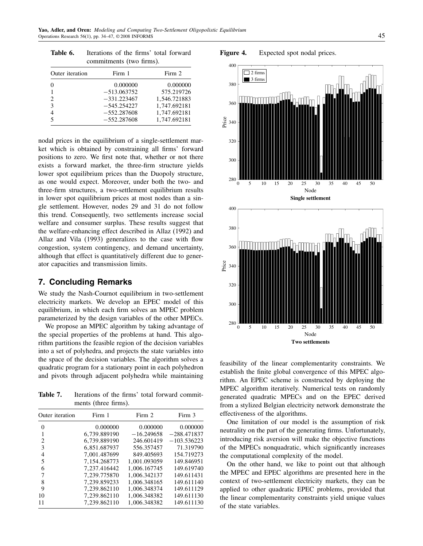| communicius (two mins). |               |              |  |  |  |  |
|-------------------------|---------------|--------------|--|--|--|--|
| Outer iteration         | Firm 1        | Firm 2       |  |  |  |  |
|                         | 0.000000      | 0.000000     |  |  |  |  |
|                         | $-513.063752$ | 575.219726   |  |  |  |  |
| 2                       | $-331.223467$ | 1,546.721883 |  |  |  |  |
| 3                       | $-545.254227$ | 1,747.692181 |  |  |  |  |
| 4                       | $-552.287608$ | 1,747.692181 |  |  |  |  |
| 5                       | $-552.287608$ | 1,747.692181 |  |  |  |  |

Table 6. Iterations of the firms' total forward sitments (two fir

nodal prices in the equilibrium of a single-settlement market which is obtained by constraining all firms' forward positions to zero. We first note that, whether or not there exists a forward market, the three-firm structure yields lower spot equilibrium prices than the Duopoly structure, as one would expect. Moreover, under both the two- and three-firm structures, a two-settlement equilibrium results in lower spot equilibrium prices at most nodes than a single settlement. However, nodes 29 and 31 do not follow this trend. Consequently, two settlements increase social welfare and consumer surplus. These results suggest that the welfare-enhancing effect described in Allaz (1992) and Allaz and Vila (1993) generalizes to the case with flow congestion, system contingency, and demand uncertainty, although that effect is quantitatively different due to generator capacities and transmission limits.

## 7. Concluding Remarks

We study the Nash-Cournot equilibrium in two-settlement electricity markets. We develop an EPEC model of this equilibrium, in which each firm solves an MPEC problem parameterized by the design variables of the other MPECs.

We propose an MPEC algorithm by taking advantage of the special properties of the problems at hand. This algorithm partitions the feasible region of the decision variables into a set of polyhedra, and projects the state variables into the space of the decision variables. The algorithm solves a quadratic program for a stationary point in each polyhedron and pivots through adjacent polyhedra while maintaining

Table 7. Iterations of the firms' total forward commitments (three firms).

| Outer iteration | Firm 1       | Firm 2       | Firm 3        |
|-----------------|--------------|--------------|---------------|
| 0               | 0.000000     | 0.000000     | 0.000000      |
| 1               | 6.739.889190 | $-16.249658$ | $-288.471837$ |
| 2               | 6.739.889190 | 246.601419   | $-103.536223$ |
| 3               | 6,851.687937 | 556.357457   | 71.319790     |
| 4               | 7.001.487699 | 849.405693   | 154.719273    |
| 5               | 7.154.268773 | 1.001.093059 | 149.846951    |
| 6               | 7.237.416442 | 1,006.167745 | 149.619740    |
|                 | 7.239.775870 | 1.006.342137 | 149.611431    |
| 8               | 7.239.859233 | 1.006.348165 | 149.611140    |
| 9               | 7.239.862110 | 1,006.348374 | 149.611129    |
| 10              | 7,239.862110 | 1,006.348382 | 149.611130    |
| 11              | 7.239.862110 | 1.006.348382 | 149.611130    |
|                 |              |              |               |

#### Figure 4. Expected spot nodal prices.



feasibility of the linear complementarity constraints. We establish the finite global convergence of this MPEC algorithm. An EPEC scheme is constructed by deploying the MPEC algorithm iteratively. Numerical tests on randomly generated quadratic MPECs and on the EPEC derived from a stylized Belgian electricity network demonstrate the effectiveness of the algorithms.

One limitation of our model is the assumption of risk neutrality on the part of the generating firms. Unfortunately, introducing risk aversion will make the objective functions of the MPECs nonquadratic, which significantly increases the computational complexity of the model.

On the other hand, we like to point out that although the MPEC and EPEC algorithms are presented here in the context of two-settlement electricity markets, they can be applied to other quadratic EPEC problems, provided that the linear complementarity constraints yield unique values of the state variables.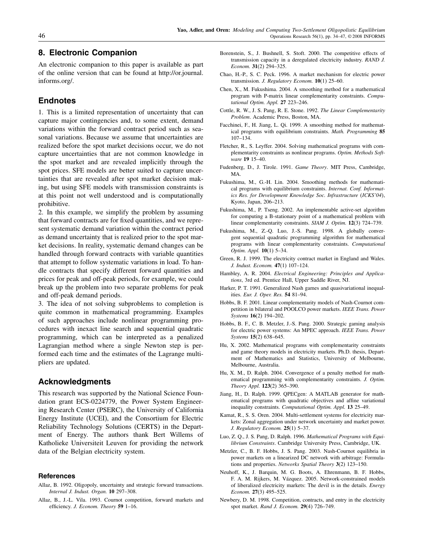# 8. Electronic Companion

An electronic companion to this paper is available as part of the online version that can be found at http://or.journal. informs.org/.

# Endnotes

1. This is a limited representation of uncertainty that can capture major contingencies and, to some extent, demand variations within the forward contract period such as seasonal variations. Because we assume that uncertainties are realized before the spot market decisions occur, we do not capture uncertainties that are not common knowledge in the spot market and are revealed implicitly through the spot prices. SFE models are better suited to capture uncertainties that are revealed after spot market decision making, but using SFE models with transmission constraints is at this point not well understood and is computationally prohibitive.

2. In this example, we simplify the problem by assuming that forward contracts are for fixed quantities, and we represent systematic demand variation within the contract period as demand uncertainty that is realized prior to the spot market decisions. In reality, systematic demand changes can be handled through forward contracts with variable quantities that attempt to follow systematic variations in load. To handle contracts that specify different forward quantities and prices for peak and off-peak periods, for example, we could break up the problem into two separate problems for peak and off-peak demand periods.

3. The idea of not solving subproblems to completion is quite common in mathematical programming. Examples of such approaches include nonlinear programming procedures with inexact line search and sequential quadratic programming, which can be interpreted as a penalized Lagrangian method where a single Newton step is performed each time and the estimates of the Lagrange multipliers are updated.

## Acknowledgments

This research was supported by the National Science Foundation grant ECS-0224779, the Power System Engineering Research Center (PSERC), the University of California Energy Institute (UCEI), and the Consortium for Electric Reliability Technology Solutions (CERTS) in the Department of Energy. The authors thank Bert Willems of Katholieke Universiteit Leuven for providing the network data of the Belgian electricity system.

#### References

- Allaz, B. 1992. Oligopoly, uncertainty and strategic forward transactions. Internal J. Indust. Organ. 10 297–308.
- Allaz, B., J.-L. Vila. 1993. Cournot competition, forward markets and efficiency. J. Econom. Theory 59 1-16.
- Borenstein, S., J. Bushnell, S. Stoft. 2000. The competitive effects of transmission capacity in a deregulated electricity industry. RAND J. Econom. 31(2) 294–325.
- Chao, H.-P., S. C. Peck. 1996. A market mechanism for electric power transmission. J. Regulatory Econom. 10(1) 25–60.
- Chen, X., M. Fukushima. 2004. A smoothing method for a mathematical program with P-matrix linear complementarity constraints. Computational Optim. Appl. 27 223–246.
- Cottle, R. W., J. S. Pang, R. E. Stone. 1992. The Linear Complementarity Problem. Academic Press, Boston, MA.
- Facchinei, F., H. Jiang, L. Qi. 1999. A smoothing method for mathematical programs with equilibrium constraints. Math. Programming 85 107–134.
- Fletcher, R., S. Leyffer. 2004. Solving mathematical programs with complementarity constraints as nonlinear programs. Optim. Methods Software 19 15–40.
- Fudenberg, D., J. Tirole. 1991. Game Theory. MIT Press, Cambridge, MA.
- Fukushima, M., G.-H. Lin. 2004. Smoothing methods for mathematical programs with equilibrium constraints. Internat. Conf. Informatics Res. for Development Knowledge Soc. Infrastructure (ICKS'04), Kyoto, Japan, 206–213.
- Fukushima, M., P. Tseng. 2002. An implementable active-set algorithm for computing a B-stationary point of a mathematical problem with linear complementarity constraints. SIAM J. Optim. 12(3) 724–739.
- Fukushima, M., Z.-Q. Luo, J.-S. Pang. 1998. A globally convergent sequential quadratic programming algorithm for mathematical programs with linear complementarity constraints. Computational Optim. Appl. 10(1) 5–34.
- Green, R. J. 1999. The electricity contract market in England and Wales. J. Indust. Econom. 47(1) 107–124.
- Hambley, A. R. 2004. Electrical Engineering: Principles and Applications, 3rd ed. Prentice Hall, Upper Saddle River, NJ.
- Harker, P. T. 1991. Generalized Nash games and quasivariational inequalities. Eur. J. Oper. Res. 54 81–94.
- Hobbs, B. F. 2001. Linear complementarity models of Nash-Cournot competition in bilateral and POOLCO power markets. IEEE Trans. Power Systems 16(2) 194–202.
- Hobbs, B. F., C. B. Metzler, J.-S. Pang. 2000. Strategic gaming analysis for electric power systems: An MPEC approach. IEEE Trans. Power Systems 15(2) 638–645.
- Hu, X. 2002. Mathematical programs with complementarity constraints and game theory models in electricity markets. Ph.D. thesis, Department of Mathematics and Statistics, University of Melbourne, Melbourne, Australia.
- Hu, X. M., D. Ralph. 2004. Convergence of a penalty method for mathematical programming with complementarity constraints. J. Optim. Theory Appl. 123(2) 365–390.
- Jiang, H., D. Ralph. 1999. QPECgen: A MATLAB generator for mathematical programs with quadratic objectives and affine variational inequality constraints. Computational Optim. Appl. 13 25–49.
- Kamat, R., S. S. Oren. 2004. Multi-settlement systems for electricity markets: Zonal aggregation under network uncertainty and market power. J. Regulatory Econom. 25(1) 5–37.
- Luo, Z. Q., J. S. Pang, D. Ralph. 1996. Mathematical Programs with Equilibrium Constraints. Cambridge University Press, Cambridge, UK.
- Metzler, C., B. F. Hobbs, J. S. Pang. 2003. Nash-Cournot equilibria in power markets on a linearized DC network with arbitrage: Formulations and properties. Networks Spatial Theory 3(2) 123–150.
- Neuhoff, K., J. Barquin, M. G. Boots, A. Ehrenmann, B. F. Hobbs, F. A. M. Rijkers, M. Vázquez. 2005. Network-constrained models of liberalized electricity markets: The devil is in the details. Energy Econom. 27(3) 495–525.
- Newbery, D. M. 1998. Competition, contracts, and entry in the electricity spot market. Rand J. Econom. 29(4) 726–749.